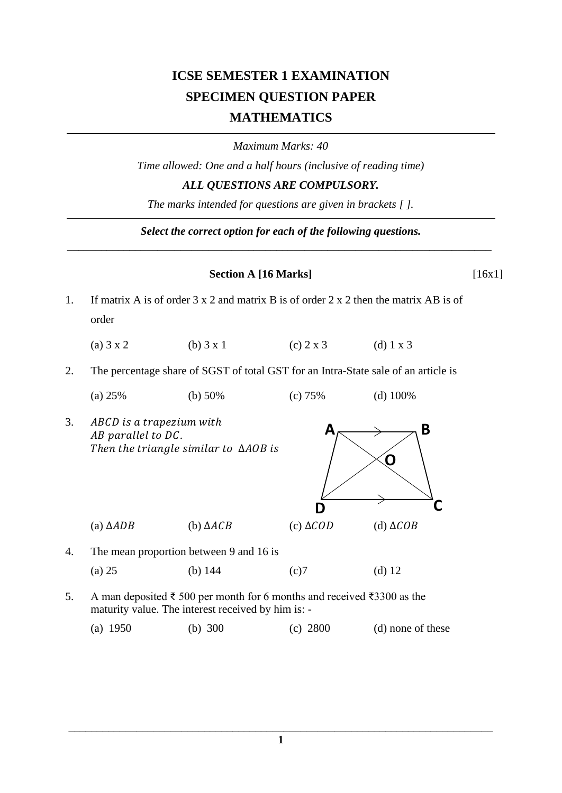## **ICSE SEMESTER 1 EXAMINATION SPECIMEN QUESTION PAPER MATHEMATICS**

*Maximum Marks: 40*

*Time allowed: One and a half hours (inclusive of reading time) ALL QUESTIONS ARE COMPULSORY.*

*The marks intended for questions are given in brackets [ ].*

*Select the correct option for each of the following questions. \_\_\_\_\_\_\_\_\_\_\_\_\_\_\_\_\_\_\_\_\_\_\_\_\_\_\_\_\_\_\_\_\_\_\_\_\_\_\_\_\_\_\_\_\_\_\_\_\_\_\_\_\_\_\_\_\_\_\_\_\_\_\_\_\_\_\_\_\_\_\_\_\_\_\_*

## **Section A [16 Marks]** [16x1]

- 1. If matrix A is of order 3 x 2 and matrix B is of order 2 x 2 then the matrix AB is of order
	- (a)  $3 \times 2$  (b)  $3 \times 1$  (c)  $2 \times 3$  (d)  $1 \times 3$
- 2. The percentage share of SGST of total GST for an Intra-State sale of an article is
	- (a) 25% (b) 50% (c) 75% (d) 100%
- 3. ABCD is a trapezium with AB parallel to DC. Then the triangle similar to  $\triangle AOB$  is



- 4. The mean proportion between 9 and 16 is (a) 25 (b) 144 (c)7 (d) 12
- 5. A man deposited ₹ 500 per month for 6 months and received ₹3300 as the maturity value. The interest received by him is: -

(a) 1950 (b) 300 (c) 2800 (d) none of these

\_\_\_\_\_\_\_\_\_\_\_\_\_\_\_\_\_\_\_\_\_\_\_\_\_\_\_\_\_\_\_\_\_\_\_\_\_\_\_\_\_\_\_\_\_\_\_\_\_\_\_\_\_\_\_\_\_\_\_\_\_\_\_\_\_\_\_\_\_\_\_\_\_\_\_ **1**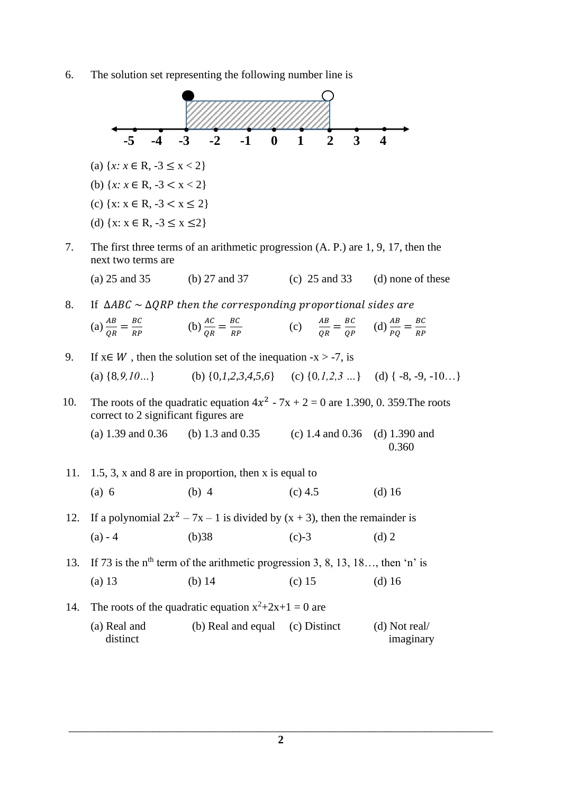6. The solution set representing the following number line is

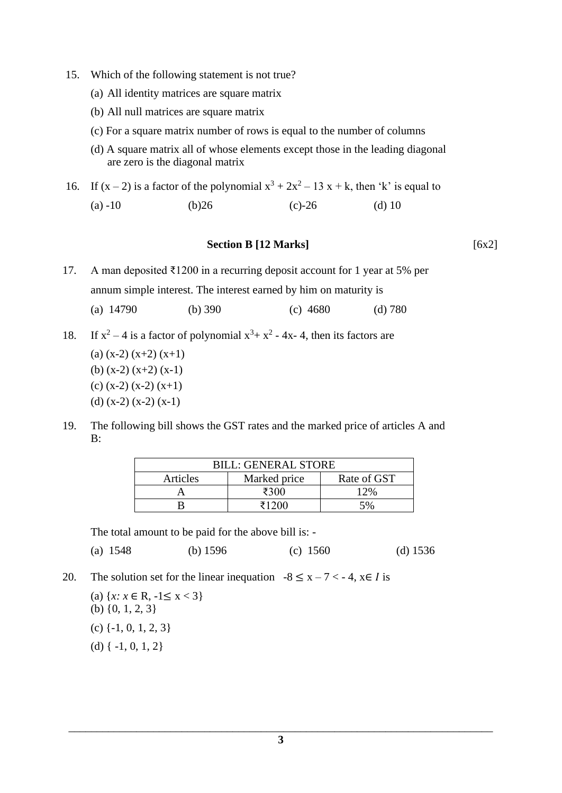- 15. Which of the following statement is not true?
	- (a) All identity matrices are square matrix
	- (b) All null matrices are square matrix
	- (c) For a square matrix number of rows is equal to the number of columns
	- (d) A square matrix all of whose elements except those in the leading diagonal are zero is the diagonal matrix

16. If  $(x - 2)$  is a factor of the polynomial  $x^3 + 2x^2 - 13x + k$ , then 'k' is equal to (a)  $-10$  (b)  $26$  (c)  $-26$  (d)  $10$ 

## **Section B [12 Marks]** [6x2]

17. A man deposited ₹1200 in a recurring deposit account for 1 year at 5% per annum simple interest. The interest earned by him on maturity is (a) 14790 (b) 390 (c) 4680 (d) 780

- 18. If  $x^2 4$  is a factor of polynomial  $x^3 + x^2 4x 4$ , then its factors are
	- (a)  $(x-2)$   $(x+2)$   $(x+1)$
	- (b) (x-2) (x+2) (x-1)
	- (c)  $(x-2) (x-2) (x+1)$
	- (d)  $(x-2) (x-2) (x-1)$
- 19. The following bill shows the GST rates and the marked price of articles A and B:

| <b>BILL: GENERAL STORE</b> |              |             |
|----------------------------|--------------|-------------|
| Articles                   | Marked price | Rate of GST |
|                            | ₹300         | 12%         |
|                            | 71200        | 5%          |

The total amount to be paid for the above bill is: -

(a) 1548 (b) 1596 (c) 1560 (d) 1536

- 20. The solution set for the linear inequation  $-8 \le x 7 < -4$ ,  $x \in I$  is
	- (a)  $\{x: x \in \mathbb{R}, -1 \le x < 3\}$ (b) {0, 1, 2, 3} (c) {-1, 0, 1, 2, 3} (d)  $\{-1, 0, 1, 2\}$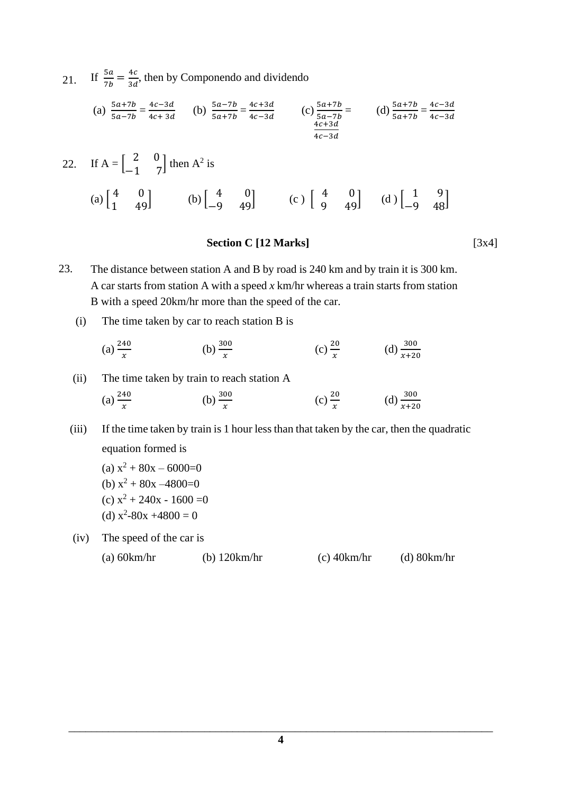21. If  $\frac{5a}{7b} = \frac{4c}{3d}$  $\frac{4c}{3d}$ , then by Componendo and dividendo

(a) 
$$
\frac{5a+7b}{5a-7b} = \frac{4c-3d}{4c+3d}
$$
 (b)  $\frac{5a-7b}{5a+7b} = \frac{4c+3d}{4c-3d}$  (c)  $\frac{5a+7b}{5a-7b} =$  (d)  $\frac{5a+7b}{5a+7b} = \frac{4c-3d}{4c-3d}$ 

22. If 
$$
A = \begin{bmatrix} 2 & 0 \\ -1 & 7 \end{bmatrix}
$$
 then  $A^2$  is  
\n(a)  $\begin{bmatrix} 4 & 0 \\ 1 & 49 \end{bmatrix}$  (b)  $\begin{bmatrix} 4 & 0 \\ -9 & 49 \end{bmatrix}$  (c)  $\begin{bmatrix} 4 & 0 \\ 9 & 49 \end{bmatrix}$  (d)  $\begin{bmatrix} 1 & 9 \\ -9 & 48 \end{bmatrix}$ 

## **Section C [12 Marks]** [3x4]

23. The distance between station A and B by road is 240 km and by train it is 300 km. A car starts from station A with a speed *x* km/hr whereas a train starts from station B with a speed 20km/hr more than the speed of the car.

(i) The time taken by car to reach station B is

(a) 
$$
\frac{240}{x}
$$
 (b)  $\frac{300}{x}$  (c)  $\frac{20}{x}$  (d)  $\frac{300}{x+20}$ 

(ii) The time taken by train to reach station A

(a) 
$$
\frac{240}{x}
$$
 (b)  $\frac{300}{x}$  (c)  $\frac{20}{x}$  (d)  $\frac{300}{x+20}$ 

 (iii) If the time taken by train is 1 hour less than that taken by the car, then the quadratic equation formed is

(a) 
$$
x^2 + 80x - 6000=0
$$
  
\n(b)  $x^2 + 80x - 4800=0$   
\n(c)  $x^2 + 240x - 1600 =0$ 

(d)  $x^2-80x +4800 = 0$ 

(iv) The speed of the car is

(a) 60km/hr (b) 120km/hr (c) 40km/hr (d) 80km/hr